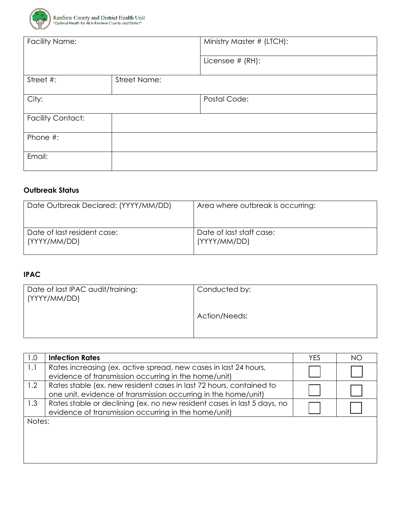

| <b>Facility Name:</b>    |              | Ministry Master # (LTCH): |
|--------------------------|--------------|---------------------------|
|                          |              | Licensee # (RH):          |
| Street #:                | Street Name: |                           |
| City:                    |              | Postal Code:              |
| <b>Facility Contact:</b> |              |                           |
| Phone #:                 |              |                           |
| Email:                   |              |                           |

## **Outbreak Status**

| Date Outbreak Declared: (YYYY/MM/DD) | Area where outbreak is occurring: |
|--------------------------------------|-----------------------------------|
| Date of last resident case:          | Date of last staff case:          |
| (YYYY/MM/DD)                         | (YYYY/MM/DD)                      |

## **IPAC**

 $\overline{\phantom{a}}$ 

| Date of last IPAC audit/training:<br>(YYYY/MM/DD) | Conducted by: |
|---------------------------------------------------|---------------|
|                                                   | Action/Needs: |

| 1.0    | <b>Infection Rates</b>                                                                                                                | YES | ΝO |
|--------|---------------------------------------------------------------------------------------------------------------------------------------|-----|----|
| 1.1    | Rates increasing (ex. active spread, new cases in last 24 hours,<br>evidence of transmission occurring in the home/unit)              |     |    |
| 1.2    | Rates stable (ex. new resident cases in last 72 hours, contained to<br>one unit, evidence of transmission occurring in the home/unit) |     |    |
| 1.3    | Rates stable or declining (ex. no new resident cases in last 5 days, no<br>evidence of transmission occurring in the home/unit)       |     |    |
| Notes: |                                                                                                                                       |     |    |